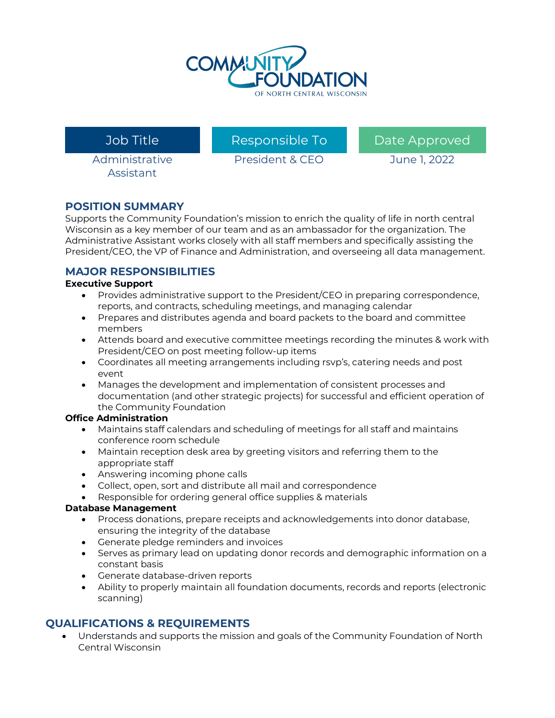

Administrative Assistant

President & CEO June 1, 2022

Job Title **Responsible To Contain To Approved** 

## **POSITION SUMMARY**

Supports the Community Foundation's mission to enrich the quality of life in north central Wisconsin as a key member of our team and as an ambassador for the organization. The Administrative Assistant works closely with all staff members and specifically assisting the President/CEO, the VP of Finance and Administration, and overseeing all data management.

## **MAJOR RESPONSIBILITIES**

### **Executive Support**

- Provides administrative support to the President/CEO in preparing correspondence, reports, and contracts, scheduling meetings, and managing calendar
- Prepares and distributes agenda and board packets to the board and committee members
- Attends board and executive committee meetings recording the minutes & work with President/CEO on post meeting follow-up items
- Coordinates all meeting arrangements including rsvp's, catering needs and post event
- Manages the development and implementation of consistent processes and documentation (and other strategic projects) for successful and efficient operation of the Community Foundation

#### **Office Administration**

- Maintains staff calendars and scheduling of meetings for all staff and maintains conference room schedule
- Maintain reception desk area by greeting visitors and referring them to the appropriate staff
- Answering incoming phone calls
- Collect, open, sort and distribute all mail and correspondence
- Responsible for ordering general office supplies & materials

#### **Database Management**

- Process donations, prepare receipts and acknowledgements into donor database, ensuring the integrity of the database
- Generate pledge reminders and invoices
- Serves as primary lead on updating donor records and demographic information on a constant basis
- Generate database-driven reports
- Ability to properly maintain all foundation documents, records and reports (electronic scanning)

# **QUALIFICATIONS & REQUIREMENTS**

• Understands and supports the mission and goals of the Community Foundation of North Central Wisconsin